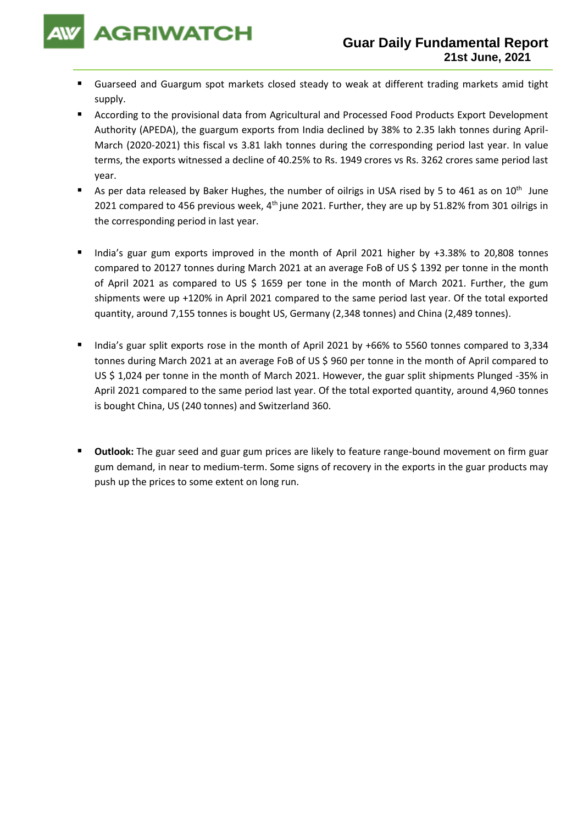

- Guarseed and Guargum spot markets closed steady to weak at different trading markets amid tight supply.
- According to the provisional data from Agricultural and Processed Food Products Export Development Authority (APEDA), the guargum exports from India declined by 38% to 2.35 lakh tonnes during April-March (2020-2021) this fiscal vs 3.81 lakh tonnes during the corresponding period last year. In value terms, the exports witnessed a decline of 40.25% to Rs. 1949 crores vs Rs. 3262 crores same period last year.
- **E** As per data released by Baker Hughes, the number of oilrigs in USA rised by 5 to 461 as on 10<sup>th</sup> June 2021 compared to 456 previous week,  $4<sup>th</sup>$  june 2021. Further, they are up by 51.82% from 301 oilrigs in the corresponding period in last year.
- India's guar gum exports improved in the month of April 2021 higher by +3.38% to 20,808 tonnes compared to 20127 tonnes during March 2021 at an average FoB of US \$ 1392 per tonne in the month of April 2021 as compared to US \$ 1659 per tone in the month of March 2021. Further, the gum shipments were up +120% in April 2021 compared to the same period last year. Of the total exported quantity, around 7,155 tonnes is bought US, Germany (2,348 tonnes) and China (2,489 tonnes).
- India's guar split exports rose in the month of April 2021 by +66% to 5560 tonnes compared to 3,334 tonnes during March 2021 at an average FoB of US \$ 960 per tonne in the month of April compared to US \$ 1,024 per tonne in the month of March 2021. However, the guar split shipments Plunged -35% in April 2021 compared to the same period last year. Of the total exported quantity, around 4,960 tonnes is bought China, US (240 tonnes) and Switzerland 360.
- Outlook: The guar seed and guar gum prices are likely to feature range-bound movement on firm guar gum demand, in near to medium-term. Some signs of recovery in the exports in the guar products may push up the prices to some extent on long run.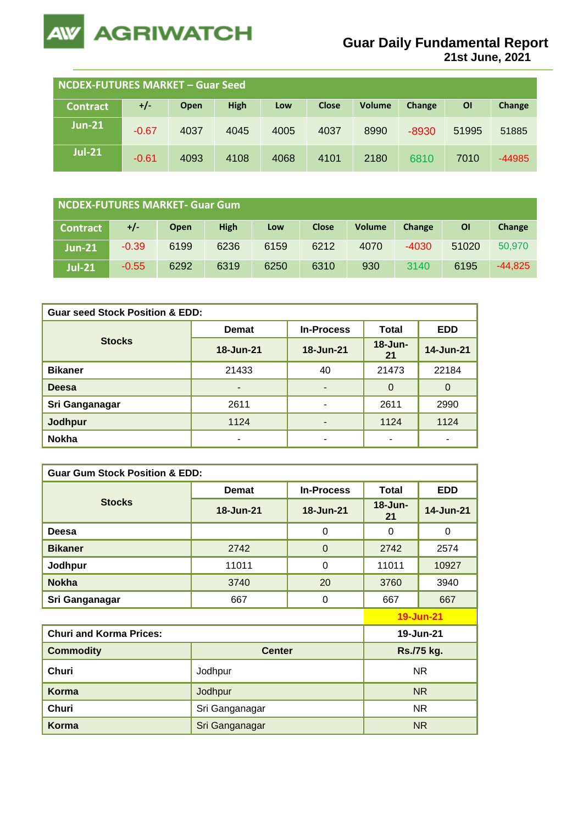

**21st June, 2021**

| NCDEX-FUTURES MARKET - Guar Seed |         |      |      |      |              |               |         |       |          |
|----------------------------------|---------|------|------|------|--------------|---------------|---------|-------|----------|
| <b>Contract</b>                  | +/-     | Open | High | Low  | <b>Close</b> | <b>Volume</b> | Change  | ΟI    | Change   |
| $Jun-21$                         | $-0.67$ | 4037 | 4045 | 4005 | 4037         | 8990          | $-8930$ | 51995 | 51885    |
| <b>Jul-21</b>                    | $-0.61$ | 4093 | 4108 | 4068 | 4101         | 2180          | 6810    | 7010  | $-44985$ |

| NCDEX-FUTURES MARKET- Guar Gum |         |      |             |      |              |               |         |           |           |
|--------------------------------|---------|------|-------------|------|--------------|---------------|---------|-----------|-----------|
| <b>Contract</b>                | +/-     | Open | <b>High</b> | Low  | <b>Close</b> | <b>Volume</b> | Change  | <b>OI</b> | Change    |
| $Jun-21$                       | $-0.39$ | 6199 | 6236        | 6159 | 6212         | 4070          | $-4030$ | 51020     | 50,970    |
| <b>Jul-21</b>                  | $-0.55$ | 6292 | 6319        | 6250 | 6310         | 930           | 3140    | 6195      | $-44,825$ |

| <b>Guar seed Stock Position &amp; EDD:</b> |              |                          |                    |            |  |  |  |
|--------------------------------------------|--------------|--------------------------|--------------------|------------|--|--|--|
|                                            | <b>Demat</b> | <b>In-Process</b>        | Total              | <b>EDD</b> |  |  |  |
| <b>Stocks</b>                              | 18-Jun-21    | 18-Jun-21                | $18 - Jun -$<br>21 | 14-Jun-21  |  |  |  |
| <b>Bikaner</b>                             | 21433        | 40                       | 21473              | 22184      |  |  |  |
| <b>Deesa</b>                               |              | ٠                        | $\Omega$           | $\Omega$   |  |  |  |
| Sri Ganganagar                             | 2611         | $\overline{\phantom{0}}$ | 2611               | 2990       |  |  |  |
| <b>Jodhpur</b>                             | 1124         |                          | 1124               | 1124       |  |  |  |
| <b>Nokha</b>                               |              | ۰                        | ٠                  | -          |  |  |  |

| <b>Guar Gum Stock Position &amp; EDD:</b> |                |                   |                    |                  |  |  |  |
|-------------------------------------------|----------------|-------------------|--------------------|------------------|--|--|--|
|                                           | <b>Demat</b>   | <b>In-Process</b> | <b>Total</b>       | <b>EDD</b>       |  |  |  |
| <b>Stocks</b>                             | 18-Jun-21      | 18-Jun-21         | $18 - Jun -$<br>21 | 14-Jun-21        |  |  |  |
| Deesa                                     |                | 0                 | $\Omega$           | $\Omega$         |  |  |  |
| <b>Bikaner</b>                            | 2742           | $\overline{0}$    | 2742               | 2574             |  |  |  |
| Jodhpur                                   | 11011          | 0                 | 11011              | 10927            |  |  |  |
| <b>Nokha</b>                              | 3740           | 20                | 3760               | 3940             |  |  |  |
| Sri Ganganagar                            | 667            | 0                 | 667                | 667              |  |  |  |
|                                           |                |                   |                    | <b>19-Jun-21</b> |  |  |  |
| <b>Churi and Korma Prices:</b>            |                |                   | 19-Jun-21          |                  |  |  |  |
| <b>Commodity</b>                          | <b>Center</b>  |                   | Rs./75 kg.         |                  |  |  |  |
| <b>Churi</b>                              | Jodhpur        |                   | <b>NR</b>          |                  |  |  |  |
| <b>Korma</b>                              | Jodhpur        |                   | N <sub>R</sub>     |                  |  |  |  |
| <b>Churi</b>                              | Sri Ganganagar | <b>NR</b>         |                    |                  |  |  |  |
| Korma                                     | Sri Ganganagar |                   |                    | <b>NR</b>        |  |  |  |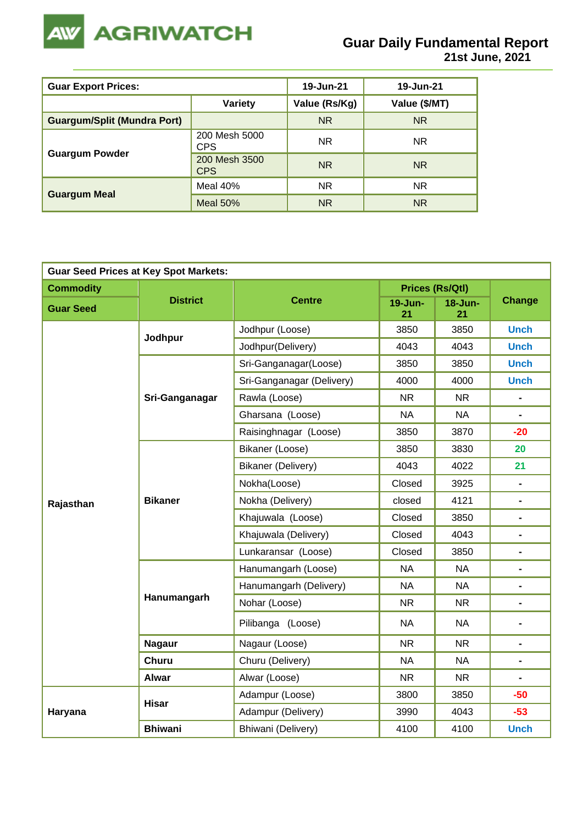

| <b>Guar Export Prices:</b>         | 19-Jun-21                   | 19-Jun-21     |                |
|------------------------------------|-----------------------------|---------------|----------------|
|                                    | <b>Variety</b>              | Value (Rs/Kg) | Value (\$/MT)  |
| <b>Guargum/Split (Mundra Port)</b> |                             | <b>NR</b>     | N <sub>R</sub> |
|                                    | 200 Mesh 5000<br>CPS        | <b>NR</b>     | NR.            |
| <b>Guargum Powder</b>              | 200 Mesh 3500<br><b>CPS</b> | <b>NR</b>     | N <sub>R</sub> |
|                                    | Meal 40%                    | <b>NR</b>     | <b>NR</b>      |
| <b>Guargum Meal</b>                | Meal $50\%$                 | <b>NR</b>     | N <sub>R</sub> |

| <b>Guar Seed Prices at Key Spot Markets:</b> |                 |                           |                    |                        |                                                                                                                                                                                                                                                                                                                                                             |  |  |  |
|----------------------------------------------|-----------------|---------------------------|--------------------|------------------------|-------------------------------------------------------------------------------------------------------------------------------------------------------------------------------------------------------------------------------------------------------------------------------------------------------------------------------------------------------------|--|--|--|
| <b>Commodity</b>                             |                 |                           |                    | <b>Prices (Rs/Qtl)</b> | <b>Change</b>                                                                                                                                                                                                                                                                                                                                               |  |  |  |
| <b>Guar Seed</b>                             | <b>District</b> | <b>Centre</b>             | $19 - Jun -$<br>21 | 18-Jun-<br>21          |                                                                                                                                                                                                                                                                                                                                                             |  |  |  |
|                                              | Jodhpur         | Jodhpur (Loose)           | 3850               | 3850                   | <b>Unch</b>                                                                                                                                                                                                                                                                                                                                                 |  |  |  |
|                                              |                 | Jodhpur(Delivery)         | 4043               | 4043                   | <b>Unch</b><br><b>Unch</b><br><b>Unch</b><br>$\blacksquare$<br>$\blacksquare$<br>$-20$<br>20<br>21<br>$\blacksquare$<br>$\blacksquare$<br>$\blacksquare$<br>$\blacksquare$<br>$\blacksquare$<br>$\blacksquare$<br>$\blacksquare$<br>$\blacksquare$<br>$\blacksquare$<br>$\blacksquare$<br>$\blacksquare$<br>$\blacksquare$<br>$-50$<br>$-53$<br><b>Unch</b> |  |  |  |
|                                              |                 | Sri-Ganganagar(Loose)     | 3850               | 3850                   |                                                                                                                                                                                                                                                                                                                                                             |  |  |  |
|                                              |                 | Sri-Ganganagar (Delivery) | 4000               | 4000                   |                                                                                                                                                                                                                                                                                                                                                             |  |  |  |
|                                              | Sri-Ganganagar  | Rawla (Loose)             | <b>NR</b>          | <b>NR</b>              |                                                                                                                                                                                                                                                                                                                                                             |  |  |  |
|                                              |                 | Gharsana (Loose)          | <b>NA</b>          | <b>NA</b>              |                                                                                                                                                                                                                                                                                                                                                             |  |  |  |
|                                              |                 | Raisinghnagar (Loose)     | 3850               | 3870                   |                                                                                                                                                                                                                                                                                                                                                             |  |  |  |
|                                              |                 | Bikaner (Loose)           | 3850               | 3830                   |                                                                                                                                                                                                                                                                                                                                                             |  |  |  |
|                                              |                 | Bikaner (Delivery)        | 4043               | 4022                   |                                                                                                                                                                                                                                                                                                                                                             |  |  |  |
|                                              |                 | Nokha(Loose)              | Closed             | 3925                   |                                                                                                                                                                                                                                                                                                                                                             |  |  |  |
| Rajasthan                                    | <b>Bikaner</b>  | Nokha (Delivery)          | closed             | 4121                   |                                                                                                                                                                                                                                                                                                                                                             |  |  |  |
|                                              |                 | Khajuwala (Loose)         | Closed             | 3850                   |                                                                                                                                                                                                                                                                                                                                                             |  |  |  |
|                                              |                 | Khajuwala (Delivery)      | Closed             | 4043                   |                                                                                                                                                                                                                                                                                                                                                             |  |  |  |
|                                              |                 | Lunkaransar (Loose)       | Closed             | 3850                   |                                                                                                                                                                                                                                                                                                                                                             |  |  |  |
|                                              |                 | Hanumangarh (Loose)       | <b>NA</b>          | <b>NA</b>              |                                                                                                                                                                                                                                                                                                                                                             |  |  |  |
|                                              |                 | Hanumangarh (Delivery)    | <b>NA</b>          | <b>NA</b>              |                                                                                                                                                                                                                                                                                                                                                             |  |  |  |
|                                              | Hanumangarh     | Nohar (Loose)             | <b>NR</b>          | <b>NR</b>              |                                                                                                                                                                                                                                                                                                                                                             |  |  |  |
|                                              |                 | Pilibanga (Loose)         | <b>NA</b>          | <b>NA</b>              |                                                                                                                                                                                                                                                                                                                                                             |  |  |  |
|                                              | <b>Nagaur</b>   | Nagaur (Loose)            | <b>NR</b>          | <b>NR</b>              |                                                                                                                                                                                                                                                                                                                                                             |  |  |  |
|                                              | <b>Churu</b>    | Churu (Delivery)          | <b>NA</b>          | <b>NA</b>              |                                                                                                                                                                                                                                                                                                                                                             |  |  |  |
|                                              | <b>Alwar</b>    | Alwar (Loose)             | <b>NR</b>          | <b>NR</b>              |                                                                                                                                                                                                                                                                                                                                                             |  |  |  |
|                                              | <b>Hisar</b>    | Adampur (Loose)           | 3800               | 3850                   |                                                                                                                                                                                                                                                                                                                                                             |  |  |  |
| Haryana                                      |                 | Adampur (Delivery)        | 3990               | 4043                   |                                                                                                                                                                                                                                                                                                                                                             |  |  |  |
|                                              | <b>Bhiwani</b>  | Bhiwani (Delivery)        | 4100               | 4100                   |                                                                                                                                                                                                                                                                                                                                                             |  |  |  |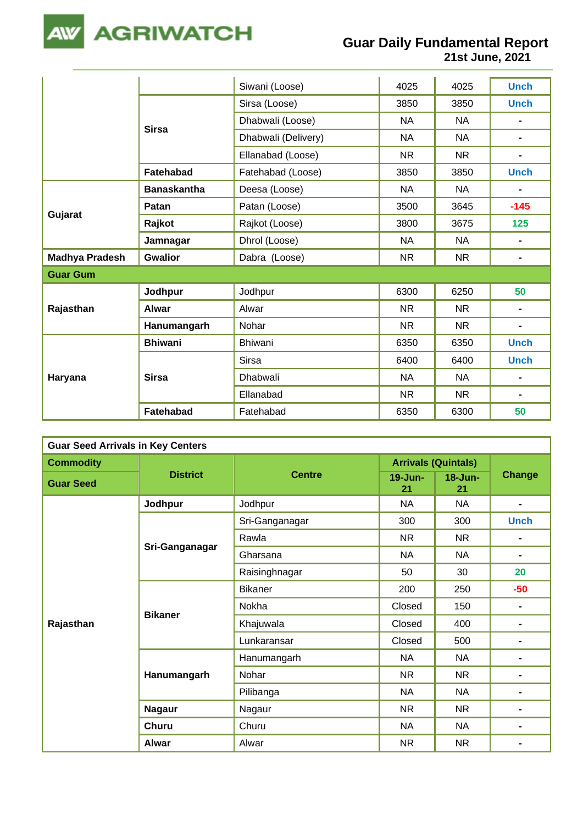

**21st June, 2021**

|                       |                    | Siwani (Loose)      | 4025      | 4025      | <b>Unch</b>                  |
|-----------------------|--------------------|---------------------|-----------|-----------|------------------------------|
|                       | <b>Sirsa</b>       | Sirsa (Loose)       | 3850      | 3850      | <b>Unch</b>                  |
|                       |                    | Dhabwali (Loose)    | <b>NA</b> | <b>NA</b> |                              |
|                       |                    | Dhabwali (Delivery) | <b>NA</b> | <b>NA</b> | $\blacksquare$               |
|                       |                    | Ellanabad (Loose)   | <b>NR</b> | <b>NR</b> | $\blacksquare$               |
|                       | Fatehabad          | Fatehabad (Loose)   | 3850      | 3850      | <b>Unch</b>                  |
|                       | <b>Banaskantha</b> | Deesa (Loose)       | <b>NA</b> | <b>NA</b> | $\qquad \qquad \blacksquare$ |
|                       | Patan              | Patan (Loose)       | 3500      | 3645      | $-145$                       |
| Gujarat               | Rajkot             | Rajkot (Loose)      | 3800      | 3675      | 125                          |
|                       | Jamnagar           | Dhrol (Loose)       | <b>NA</b> | <b>NA</b> | $\blacksquare$               |
| <b>Madhya Pradesh</b> | <b>Gwalior</b>     | Dabra (Loose)       | <b>NR</b> | <b>NR</b> | $\blacksquare$               |
| <b>Guar Gum</b>       |                    |                     |           |           |                              |
|                       | Jodhpur            | Jodhpur             | 6300      | 6250      | 50                           |
| Rajasthan             | <b>Alwar</b>       | Alwar               | <b>NR</b> | <b>NR</b> | $\blacksquare$               |
|                       | Hanumangarh        | Nohar               | <b>NR</b> | <b>NR</b> | $\blacksquare$               |
| Haryana               | <b>Bhiwani</b>     | Bhiwani             | 6350      | 6350      | <b>Unch</b>                  |
|                       |                    | <b>Sirsa</b>        | 6400      | 6400      | <b>Unch</b>                  |
|                       | <b>Sirsa</b>       | Dhabwali            | <b>NA</b> | <b>NA</b> |                              |
|                       |                    | Ellanabad           | <b>NR</b> | <b>NR</b> | $\blacksquare$               |
|                       | Fatehabad          | Fatehabad           | 6350      | 6300      | 50                           |

| <b>Guar Seed Arrivals in Key Centers</b> |                 |                                                                                                               |                            |                                                                                                                                                   |                |  |  |  |
|------------------------------------------|-----------------|---------------------------------------------------------------------------------------------------------------|----------------------------|---------------------------------------------------------------------------------------------------------------------------------------------------|----------------|--|--|--|
| <b>Commodity</b>                         |                 |                                                                                                               | <b>Arrivals (Quintals)</b> |                                                                                                                                                   |                |  |  |  |
| <b>Guar Seed</b>                         | <b>District</b> | <b>Centre</b>                                                                                                 | $19 - Jun -$<br>21         | 18-Jun-<br>21                                                                                                                                     | Change         |  |  |  |
|                                          | Jodhpur         | Jodhpur                                                                                                       | <b>NA</b>                  | <b>NA</b>                                                                                                                                         | $\blacksquare$ |  |  |  |
|                                          |                 | Sri-Ganganagar                                                                                                | 300                        | 300                                                                                                                                               | <b>Unch</b>    |  |  |  |
|                                          |                 | Rawla                                                                                                         | <b>NR</b>                  | NR                                                                                                                                                | $\blacksquare$ |  |  |  |
|                                          | Sri-Ganganagar  | Gharsana                                                                                                      | <b>NA</b>                  | <b>NA</b>                                                                                                                                         | $\blacksquare$ |  |  |  |
|                                          |                 | Raisinghnagar                                                                                                 | 50                         | 30                                                                                                                                                | 20             |  |  |  |
|                                          |                 | <b>Bikaner</b>                                                                                                | 200                        | 250                                                                                                                                               | $-50$          |  |  |  |
|                                          |                 | Nokha                                                                                                         | Closed                     | 150                                                                                                                                               | $\blacksquare$ |  |  |  |
| Rajasthan                                | <b>Bikaner</b>  | Khajuwala                                                                                                     | Closed                     | 400                                                                                                                                               | $\blacksquare$ |  |  |  |
|                                          |                 | Lunkaransar                                                                                                   | Closed                     | 500<br>$\blacksquare$<br><b>NA</b><br>$\blacksquare$<br><b>NR</b><br>$\blacksquare$<br><b>NA</b><br>$\blacksquare$<br><b>NR</b><br>$\blacksquare$ |                |  |  |  |
|                                          |                 | Hanumangarh                                                                                                   | <b>NA</b>                  |                                                                                                                                                   |                |  |  |  |
|                                          | Hanumangarh     | Nohar                                                                                                         | <b>NR</b>                  |                                                                                                                                                   |                |  |  |  |
|                                          |                 | Pilibanga<br><b>NA</b><br>Nagaur<br>NR.<br>Churu<br><b>NA</b><br><b>NA</b><br><b>NR</b><br><b>NR</b><br>Alwar |                            |                                                                                                                                                   |                |  |  |  |
|                                          | <b>Nagaur</b>   |                                                                                                               |                            |                                                                                                                                                   |                |  |  |  |
|                                          | <b>Churu</b>    |                                                                                                               |                            |                                                                                                                                                   | $\blacksquare$ |  |  |  |
|                                          | <b>Alwar</b>    |                                                                                                               |                            |                                                                                                                                                   | $\blacksquare$ |  |  |  |